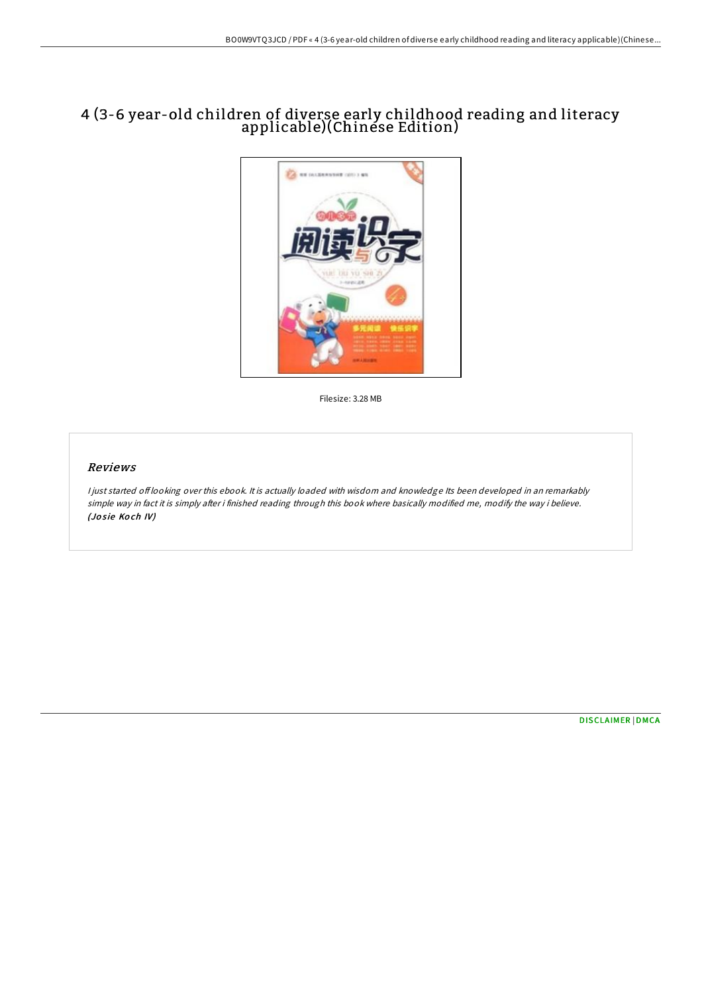## 4 (3-6 year-old children of diverse early childhood reading and literacy applicable)(Chinese Edition)



Filesize: 3.28 MB

## Reviews

<sup>I</sup> just started of looking over this ebook. It is actually loaded with wisdom and knowledge Its been developed in an remarkably simple way in fact it is simply after i finished reading through this book where basically modified me, modify the way i believe. (Josie Koch IV)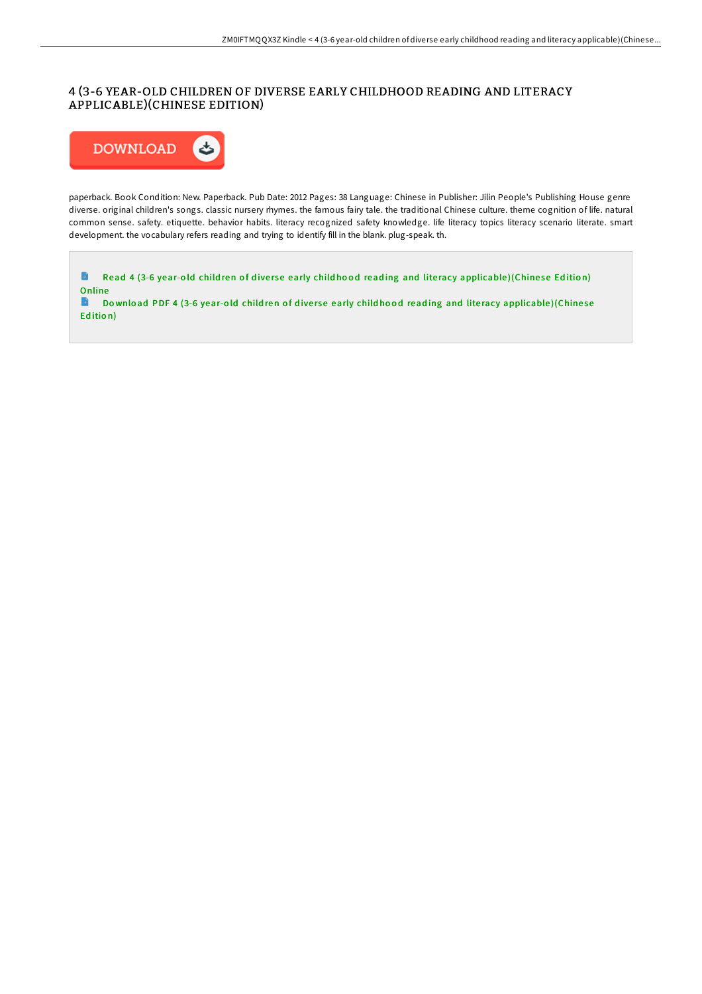## 4 (3-6 YEAR-OLD CHILDREN OF DIVERSE EARLY CHILDHOOD READING AND LITERACY APPLICABLE)(CHINESE EDITION)



paperback. Book Condition: New. Paperback. Pub Date: 2012 Pages: 38 Language: Chinese in Publisher: Jilin People's Publishing House genre diverse. original children's songs. classic nursery rhymes. the famous fairy tale. the traditional Chinese culture. theme cognition of life. natural common sense. safety. etiquette. behavior habits. literacy recognized safety knowledge. life literacy topics literacy scenario literate. smart development. the vocabulary refers reading and trying to identify fill in the blank. plug-speak. th.

 $\blacksquare$ Read 4 (3-6 year-old children of diverse early child hood reading and literacy [applicable](http://almighty24.tech/4-3-6-year-old-children-of-diverse-early-childho.html))(Chinese Edition) Online<br>Do

Download PDF 4 (3-6 year-old children of diverse early childhood reading and literacy [applicable](http://almighty24.tech/4-3-6-year-old-children-of-diverse-early-childho.html))(Chinese Ed itio n)